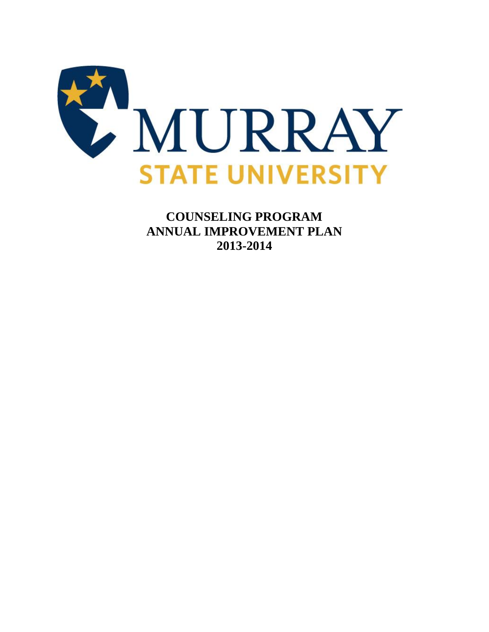

**COUNSELING PROGRAM ANNUAL IMPROVEMENT PLAN 2013-2014**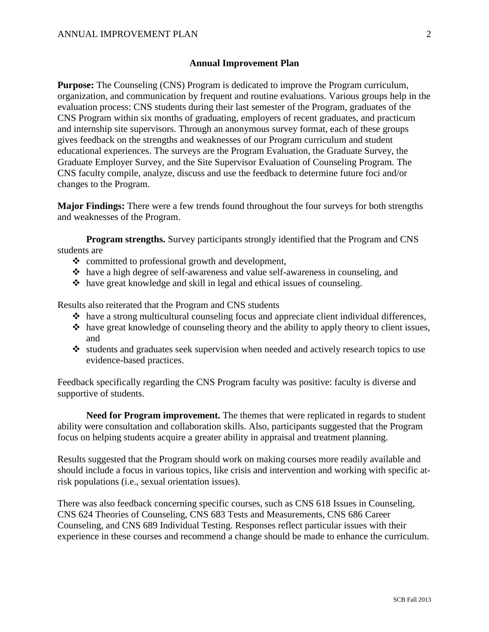## **Annual Improvement Plan**

**Purpose:** The Counseling (CNS) Program is dedicated to improve the Program curriculum, organization, and communication by frequent and routine evaluations. Various groups help in the evaluation process: CNS students during their last semester of the Program, graduates of the CNS Program within six months of graduating, employers of recent graduates, and practicum and internship site supervisors. Through an anonymous survey format, each of these groups gives feedback on the strengths and weaknesses of our Program curriculum and student educational experiences. The surveys are the Program Evaluation, the Graduate Survey, the Graduate Employer Survey, and the Site Supervisor Evaluation of Counseling Program. The CNS faculty compile, analyze, discuss and use the feedback to determine future foci and/or changes to the Program.

**Major Findings:** There were a few trends found throughout the four surveys for both strengths and weaknesses of the Program.

**Program strengths.** Survey participants strongly identified that the Program and CNS students are

- $\triangleleft$  committed to professional growth and development,
- have a high degree of self-awareness and value self-awareness in counseling, and
- $\triangle$  have great knowledge and skill in legal and ethical issues of counseling.

Results also reiterated that the Program and CNS students

- have a strong multicultural counseling focus and appreciate client individual differences,
- $\triangle$  have great knowledge of counseling theory and the ability to apply theory to client issues, and
- $\cdot$  students and graduates seek supervision when needed and actively research topics to use evidence-based practices.

Feedback specifically regarding the CNS Program faculty was positive: faculty is diverse and supportive of students.

**Need for Program improvement.** The themes that were replicated in regards to student ability were consultation and collaboration skills. Also, participants suggested that the Program focus on helping students acquire a greater ability in appraisal and treatment planning.

Results suggested that the Program should work on making courses more readily available and should include a focus in various topics, like crisis and intervention and working with specific atrisk populations (i.e., sexual orientation issues).

There was also feedback concerning specific courses, such as CNS 618 Issues in Counseling, CNS 624 Theories of Counseling, CNS 683 Tests and Measurements, CNS 686 Career Counseling, and CNS 689 Individual Testing. Responses reflect particular issues with their experience in these courses and recommend a change should be made to enhance the curriculum.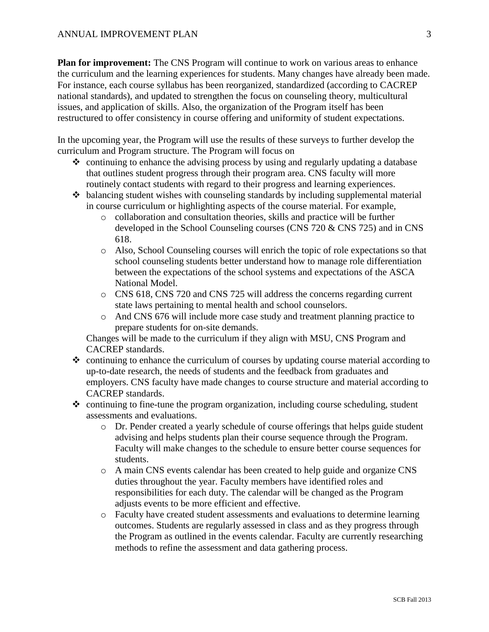**Plan for improvement:** The CNS Program will continue to work on various areas to enhance the curriculum and the learning experiences for students. Many changes have already been made. For instance, each course syllabus has been reorganized, standardized (according to CACREP national standards), and updated to strengthen the focus on counseling theory, multicultural issues, and application of skills. Also, the organization of the Program itself has been restructured to offer consistency in course offering and uniformity of student expectations.

In the upcoming year, the Program will use the results of these surveys to further develop the curriculum and Program structure. The Program will focus on

- $\triangle$  continuing to enhance the advising process by using and regularly updating a database that outlines student progress through their program area. CNS faculty will more routinely contact students with regard to their progress and learning experiences.
- $\triangle$  balancing student wishes with counseling standards by including supplemental material in course curriculum or highlighting aspects of the course material. For example,
	- o collaboration and consultation theories, skills and practice will be further developed in the School Counseling courses (CNS 720 & CNS 725) and in CNS 618.
	- o Also, School Counseling courses will enrich the topic of role expectations so that school counseling students better understand how to manage role differentiation between the expectations of the school systems and expectations of the ASCA National Model.
	- o CNS 618, CNS 720 and CNS 725 will address the concerns regarding current state laws pertaining to mental health and school counselors.
	- o And CNS 676 will include more case study and treatment planning practice to prepare students for on-site demands.

Changes will be made to the curriculum if they align with MSU, CNS Program and CACREP standards.

- $\triangle$  continuing to enhance the curriculum of courses by updating course material according to up-to-date research, the needs of students and the feedback from graduates and employers. CNS faculty have made changes to course structure and material according to CACREP standards.
- $\triangle$  continuing to fine-tune the program organization, including course scheduling, student assessments and evaluations.
	- o Dr. Pender created a yearly schedule of course offerings that helps guide student advising and helps students plan their course sequence through the Program. Faculty will make changes to the schedule to ensure better course sequences for students.
	- o A main CNS events calendar has been created to help guide and organize CNS duties throughout the year. Faculty members have identified roles and responsibilities for each duty. The calendar will be changed as the Program adjusts events to be more efficient and effective.
	- o Faculty have created student assessments and evaluations to determine learning outcomes. Students are regularly assessed in class and as they progress through the Program as outlined in the events calendar. Faculty are currently researching methods to refine the assessment and data gathering process.